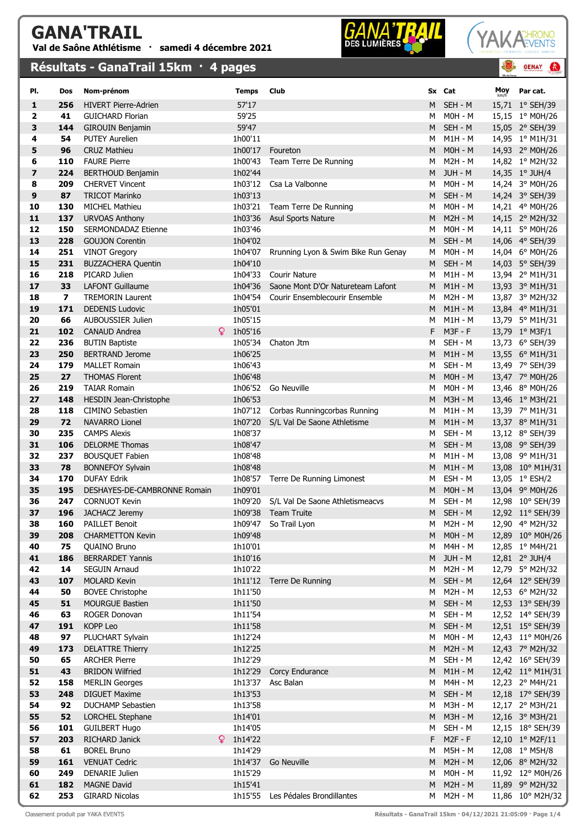## GANA'TRAIL Val de Saône Athlétisme · samedi 4 décembre 2021

## Résultats - GanaTrail 15km · 4 pages



**GENAY** 

 $\bullet$ 

| PI.          | Dos            | Nom-prénom                                      | <b>Temps</b>       | Club                                |        | Sx Cat                 | Moy | Par cat.                            |
|--------------|----------------|-------------------------------------------------|--------------------|-------------------------------------|--------|------------------------|-----|-------------------------------------|
| 1            | 256            | <b>HIVERT Pierre-Adrien</b>                     | 57'17              |                                     | M      | SEH - M                |     | 15,71 1° SEH/39                     |
| $\mathbf{2}$ | 41             | <b>GUICHARD Florian</b>                         | 59'25              |                                     | М      | $MOH - M$              |     | 15,15 1° M0H/26                     |
| 3            | 144            | GIROUIN Benjamin                                | 59'47              |                                     | M      | SEH - M                |     | 15,05 2° SEH/39                     |
| 4            | 54             | <b>PUTEY Aurelien</b>                           | 1h00'11            |                                     | М      | M1H - M                |     | 14,95 1° M1H/31                     |
| 5            | 96             | <b>CRUZ Mathieu</b>                             | 1h00'17            | Foureton                            | M      | $MOH - M$              |     | 14,93 2° M0H/26                     |
| 6            | 110            | <b>FAURE Pierre</b>                             | 1h00'43            | Team Terre De Running               | M      | M2H - M                |     | 14,82 1° M2H/32                     |
| 7            | 224            | <b>BERTHOUD Benjamin</b>                        | 1h02'44            |                                     | M      | JUH - M                |     | 14,35 1° JUH/4                      |
| 8            | 209            | <b>CHERVET Vincent</b>                          | 1h03'12            | Csa La Valbonne                     | м      | <b>M0H - M</b>         |     | 14,24 3° M0H/26                     |
| 9            | 87             | <b>TRICOT Marinko</b>                           | 1h03'13            |                                     | M      | SEH - M                |     | 14,24 3° SEH/39                     |
| 10           | 130            | <b>MICHEL Mathieu</b>                           | 1h03'21            | Team Terre De Running               | М      | $MOH - M$              |     | 14,21 4° M0H/26                     |
| 11           | 137            | <b>URVOAS Anthony</b>                           | 1h03'36            | <b>Asul Sports Nature</b>           | M      | <b>M2H - M</b>         |     | 14,15 2° M2H/32                     |
| 12           | 150            | SERMONDADAZ Etienne                             | 1h03'46            |                                     | М      | $MOH - M$              |     | 14,11 5° M0H/26                     |
| 13           | 228            | <b>GOUJON Corentin</b>                          | 1h04'02            |                                     | M      | SEH - M                |     | 14,06 4° SEH/39                     |
| 14           | 251            | <b>VINOT Gregory</b>                            | 1h04'07            | Rrunning Lyon & Swim Bike Run Genay | М      | <b>M0H - M</b>         |     | 14,04 6° M0H/26                     |
| 15           | 231            | <b>BUZZACHERA Quentin</b>                       | 1h04'10            |                                     | M      | SEH - M                |     | 14,03 5° SEH/39                     |
| 16           | 218            | PICARD Julien                                   | 1h04'33            | <b>Courir Nature</b>                | М      | $M1H - M$              |     | 13,94 2° M1H/31                     |
| 17           | 33             | <b>LAFONT Guillaume</b>                         | 1h04'36            | Saone Mont D'Or Natureteam Lafont   | M      | $M1H - M$              |     | 13,93 3° M1H/31                     |
| 18           | $\overline{ }$ | <b>TREMORIN Laurent</b>                         | 1h04'54            | Courir Ensemblecourir Ensemble      | M      | <b>M2H - M</b>         |     | 13,87 3° M2H/32                     |
| 19           | 171            | <b>DEDENIS Ludovic</b>                          | 1h05'01            |                                     | M      | $M1H - M$              |     | 13,84 4° M1H/31                     |
| 20           | 66             | AUBOUSSIER Julien                               | 1h05'15            |                                     | м      | M1H - M                |     | 13,79 5° M1H/31                     |
| 21           | 102            | $\mathbf Q$<br><b>CANAUD Andrea</b>             | 1h05'16            |                                     | F      | M3F-F                  |     | 13,79 1° M3F/1                      |
| 22           | 236            | <b>BUTIN Baptiste</b>                           | 1h05'34            | Chaton Jtm                          | М      | SEH - M                |     | 13,73 6° SEH/39                     |
| 23           | 250            | <b>BERTRAND Jerome</b>                          | 1h06'25            |                                     | M      | $M1H - M$              |     | 13,55 6° M1H/31                     |
| 24           | 179            | <b>MALLET Romain</b>                            | 1h06'43            |                                     | М      | SEH - M                |     | 13,49 7° SEH/39                     |
| 25<br>26     | 27<br>219      | <b>THOMAS Florent</b><br><b>TAIAR Romain</b>    | 1h06'48<br>1h06'52 | Go Neuville                         | M      | $MOH - M$<br>$MOH - M$ |     | 13,47 7° M0H/26                     |
| 27           | 148            | HESDIN Jean-Christophe                          | 1h06'53            |                                     | М<br>M | <b>M3H - M</b>         |     | 13,46 8° M0H/26                     |
| 28           | 118            | <b>CIMINO Sebastien</b>                         | 1h07'12            | Corbas Runningcorbas Running        | М      | M1H - M                |     | 13,46 1° M3H/21<br>13,39 7° M1H/31  |
| 29           | 72             | <b>NAVARRO Lionel</b>                           | 1h07'20            | S/L Val De Saone Athletisme         | M      | $M1H - M$              |     | 13,37 8° M1H/31                     |
| 30           | 235            | <b>CAMPS Alexis</b>                             | 1h08'37            |                                     | м      | SEH - M                |     | 13,12 8° SEH/39                     |
| 31           | 106            | <b>DELORME Thomas</b>                           | 1h08'47            |                                     | M      | SEH - M                |     | 13,08 9° SEH/39                     |
| 32           | 237            | <b>BOUSQUET Fabien</b>                          | 1h08'48            |                                     | м      | M1H - M                |     | 13,08 9° M1H/31                     |
| 33           | 78             | <b>BONNEFOY Sylvain</b>                         | 1h08'48            |                                     | M      | $M1H - M$              |     | 13,08 10° M1H/31                    |
| 34           | 170            | <b>DUFAY Edrik</b>                              | 1h08'57            | Terre De Running Limonest           | М      | ESH - M                |     | 13,05 1° ESH/2                      |
| 35           | 195            | DESHAYES-DE-CAMBRONNE Romain                    | 1h09'01            |                                     | M      | $MOH - M$              |     | 13,04 9° M0H/26                     |
| 36           | 247            | <b>CORNUOT Kevin</b>                            | 1h09'20            | S/L Val De Saone Athletismeacvs     | М      | SEH - M                |     | 12,98 10° SEH/39                    |
| 37           | 196            | JACHACZ Jeremy                                  | 1h09'38            | <b>Team Truite</b>                  |        | M SEH-M                |     | 12,92 11° SEH/39                    |
| 38           | 160            | <b>PAILLET Benoit</b>                           |                    | 1h09'47 So Trail Lyon               | M      | M2H - M                |     | 12,90 4° M2H/32                     |
| 39           | 208            | <b>CHARMETTON Kevin</b>                         | 1h09'48            |                                     | M      | $MOH - M$              |     | 12,89 10° M0H/26                    |
| 40           | 75             | <b>QUAINO Bruno</b>                             | 1h10'01            |                                     | М      | M4H - M                |     | 12,85 1° M4H/21                     |
| 41           | 186            | <b>BERRARDET Yannis</b>                         | 1h10'16            |                                     |        | M JUH-M                |     | 12,81 2° JUH/4                      |
| 42           | 14             | SEGUIN Arnaud                                   | 1h10'22            |                                     | м      | M2H - M                |     | 12,79 5° M2H/32                     |
| 43           | 107            | <b>MOLARD Kevin</b>                             | 1h11'12            | Terre De Running                    | M      | SEH - M                |     | 12,64 12° SEH/39                    |
| 44           | 50             | <b>BOVEE Christophe</b>                         | 1h11'50            |                                     | м      | M2H - M                |     | 12,53 6° M2H/32                     |
| 45           | 51             | <b>MOURGUE Bastien</b>                          | 1h11'50            |                                     | M      | SEH - M                |     | 12,53 13° SEH/39                    |
| 46           | 63             | ROGER Donovan                                   | 1h11'54            |                                     | м      | SEH - M                |     | 12,52 14° SEH/39                    |
| 47           | 191            | KOPP Leo                                        | 1h11'58            |                                     |        | M SEH-M                |     | 12,51 15° SEH/39                    |
| 48<br>49     | 97<br>173      | PLUCHART Sylvain                                | 1h12'24<br>1h12'25 |                                     | М<br>M | M0H - M<br>M2H - M     |     | 12,43 11° M0H/26<br>12,43 7° M2H/32 |
| 50           | 65             | <b>DELATTRE Thierry</b><br><b>ARCHER Pierre</b> | 1h12'29            |                                     | м      | SEH - M                |     | 12,42 16° SEH/39                    |
| 51           | 43             | <b>BRIDON Wilfried</b>                          | 1h12'29            | Corcy Endurance                     | M      | $M1H - M$              |     | 12,42 11° M1H/31                    |
| 52           | 158            | <b>MERLIN Georges</b>                           | 1h13'37            | Asc Balan                           | М      | M4H - M                |     | 12,23 2° M4H/21                     |
| 53           | 248            | <b>DIGUET Maxime</b>                            | 1h13'53            |                                     |        | M SEH-M                |     | 12,18 17° SEH/39                    |
| 54           | 92             | <b>DUCHAMP Sebastien</b>                        | 1h13'58            |                                     | м      | M3H - M                |     | 12,17 2° M3H/21                     |
| 55           | 52             | LORCHEL Stephane                                | 1h14'01            |                                     | M      | M3H - M                |     | 12,16 3° M3H/21                     |
| 56           | 101            | <b>GUILBERT Hugo</b>                            | 1h14'05            |                                     | м      | SEH - M                |     | 12,15 18° SEH/39                    |
| 57           | 203            | Q.<br>RICHARD Janick                            | 1h14'22            |                                     | F.     | $M2F - F$              |     | 12,10 1° M2F/11                     |
| 58           | 61             | <b>BOREL Bruno</b>                              | 1h14'29            |                                     | М      | M5H - M                |     | 12,08 1° M5H/8                      |
| 59           | 161            | <b>VENUAT Cedric</b>                            | 1h14'37            | Go Neuville                         | M      | $M2H - M$              |     | 12,06 8° M2H/32                     |
| 60           | 249            | <b>DENARIE Julien</b>                           | 1h15'29            |                                     | М      | $MOH - M$              |     | 11,92 12° M0H/26                    |
| 61           | 182            | <b>MAGNE David</b>                              | 1h15'41            |                                     |        | M M2H-M                |     | 11,89 9° M2H/32                     |
| 62           | 253            | <b>GIRARD Nicolas</b>                           |                    | 1h15'55 Les Pédales Brondillantes   |        | M M2H-M                |     | 11,86 10° M2H/32                    |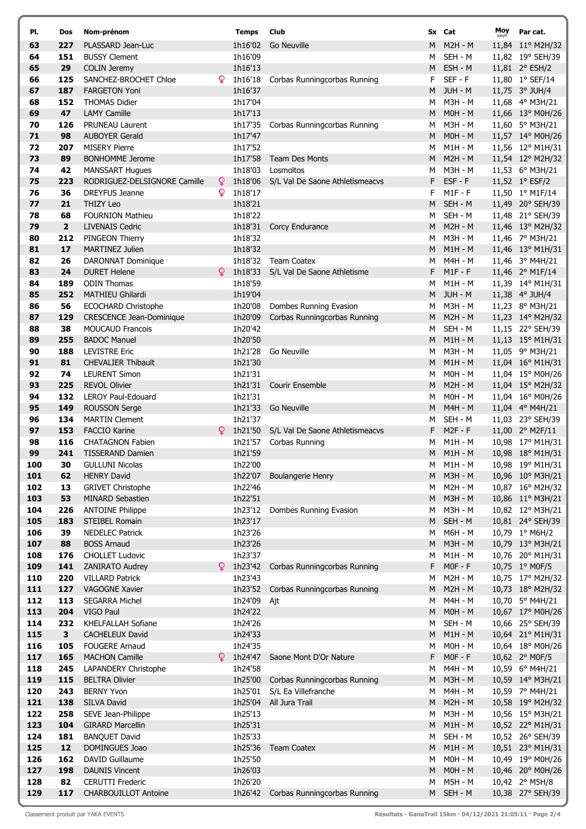| PI.        | Dos          | Nom-prénom                                        |    | <b>Temps</b>       | Club                            |        | Sx Cat                      | Moy<br>km/h | Par cat.                             |
|------------|--------------|---------------------------------------------------|----|--------------------|---------------------------------|--------|-----------------------------|-------------|--------------------------------------|
| 63         | 227          | PLASSARD Jean-Luc                                 |    | 1h16'02            | Go Neuville                     | M      | <b>M2H - M</b>              |             | 11,84 11° M2H/32                     |
| 64         | 151          | <b>BUSSY Clement</b>                              |    | 1h16'09            |                                 | м      | SEH - M                     |             | 11,82 19° SEH/39                     |
| 65         | 29           | <b>COLIN Jeremy</b>                               |    | 1h16'13            |                                 | M      | ESH - M                     |             | 11,81 2° ESH/2                       |
| 66         | 125          | SANCHEZ-BROCHET Chloe                             | Q  | 1h16'18            | Corbas Runningcorbas Running    | F.     | $SEF - F$                   |             | 11,80 1° SEF/14                      |
| 67         | 187          | <b>FARGETON Yoni</b>                              |    | 1h16'37            |                                 | M      | JUH - M                     |             | 11,75 3° JUH/4                       |
| 68         | 152          | <b>THOMAS Didier</b>                              |    | 1h17'04            |                                 | м      | M3H - M                     |             | 11,68 4° M3H/21                      |
| 69         | 47           | <b>LAMY Camille</b>                               |    | 1h17'13            |                                 | M      | $MOH - M$                   |             | 11,66 13° M0H/26                     |
| 70         | 126          | <b>PRUNEAU Laurent</b>                            |    | 1h17'35            | Corbas Runningcorbas Running    | м      | M3H - M                     |             | 11,60 5° M3H/21                      |
| 71         | 98           | <b>AUBOYER Gerald</b>                             |    | 1h17'47            |                                 | M      | $MOH - M$                   |             | 11,57 14° M0H/26                     |
| 72<br>73   | 207<br>89    | <b>MISERY Pierre</b><br><b>BONHOMME Jerome</b>    |    | 1h17'52<br>1h17'58 | <b>Team Des Monts</b>           | м      | $M1H - M$<br>$M2H - M$      |             | 11,56 12° M1H/31                     |
| 74         | 42           | <b>MANSSART Hugues</b>                            |    | 1h18'03            | Losmoltos                       | M<br>М | M3H - M                     |             | 11,54 12° M2H/32<br>11,53 6° M3H/21  |
| 75         | 223          | RODRIGUEZ-DELSIGNORE Camille                      | Q. | 1h18'06            | S/L Val De Saone Athletismeacvs | F      | ESF - F                     |             | 11,52 1° ESF/2                       |
| 76         | 36           | <b>DREYFUS Jeanne</b>                             | Q  | 1h18'17            |                                 | F.     | $M1F - F$                   |             | 11,50 1° M1F/14                      |
| 77         | 21           | THIZY Leo                                         |    | 1h18'21            |                                 | M      | SEH - M                     |             | 11,49 20° SEH/39                     |
| 78         | 68           | <b>FOURNION Mathieu</b>                           |    | 1h18'22            |                                 | м      | SEH - M                     |             | 11,48 21° SEH/39                     |
| 79         | $\mathbf{2}$ | <b>LIVENAIS Cedric</b>                            |    | 1h18'31            | Corcy Endurance                 | M      | <b>M2H - M</b>              |             | 11,46 13° M2H/32                     |
| 80         | 212          | PINGEON Thierry                                   |    | 1h18'32            |                                 | м      | M3H - M                     |             | 11,46 7° M3H/21                      |
| 81         | 17           | MARTINEZ Julien                                   |    | 1h18'32            |                                 | M      | $M1H - M$                   |             | 11,46 13° M1H/31                     |
| 82         | 26           | <b>DARONNAT Dominique</b>                         |    | 1h18'32            | <b>Team Coatex</b>              | М      | M4H - M                     |             | 11,46 3° M4H/21                      |
| 83         | 24           | <b>DURET Helene</b>                               | Q  | 1h18'33            | S/L Val De Saone Athletisme     |        | $F$ M1F-F                   |             | 11,46 2° M1F/14                      |
| 84         | 189          | <b>ODIN Thomas</b>                                |    | 1h18'59            |                                 | м      | $M1H - M$                   |             | 11,39 14° M1H/31                     |
| 85         | 252          | <b>MATHIEU Ghilardi</b>                           |    | 1h19'04            |                                 | M      | JUH - M                     |             | 11,38 4° JUH/4                       |
| 86         | 56           | <b>ECOCHARD Christophe</b>                        |    | 1h20'08            | Dombes Running Evasion          | м      | <b>M3H - M</b>              |             | 11,23 8° M3H/21                      |
| 87         | 129          | <b>CRESCENCE Jean-Dominique</b>                   |    | 1h20'09            | Corbas Runningcorbas Running    | M      | <b>M2H - M</b>              |             | 11,23 14° M2H/32                     |
| 88         | 38           | <b>MOUCAUD Francois</b>                           |    | 1h20'42            |                                 | M      | SEH - M                     |             | 11,15 22° SEH/39                     |
| 89         | 255          | <b>BADOC Manuel</b>                               |    | 1h20'50            |                                 | M      | $M1H - M$                   |             | 11,13 15° M1H/31                     |
| 90         | 188          | <b>LEVISTRE Eric</b>                              |    | 1h21'28            | Go Neuville                     | м      | M3H - M                     |             | 11,05 9° M3H/21                      |
| 91<br>92   | 81<br>74     | <b>CHEVALIER Thibault</b><br><b>LEURENT Simon</b> |    | 1h21'30<br>1h21'31 |                                 | M<br>м | $M1H - M$<br><b>M0H - M</b> |             | 11,04 16° M1H/31                     |
| 93         | 225          | <b>REVOL Olivier</b>                              |    | 1h21'31            | Courir Ensemble                 | M      | <b>M2H - M</b>              |             | 11,04 15° M0H/26<br>11,04 15° M2H/32 |
| 94         | 132          | LEROY Paul-Edouard                                |    | 1h21'31            |                                 | М      | <b>M0H - M</b>              |             | 11,04 16° M0H/26                     |
| 95         | 149          | <b>ROUSSON Serge</b>                              |    | 1h21'33            | Go Neuville                     | M      | <b>M4H - M</b>              |             | 11,04 4° M4H/21                      |
| 96         | 134          | <b>MARTIN Clement</b>                             |    | 1h21'37            |                                 | М      | SEH - M                     |             | 11,03 23° SEH/39                     |
| 97         | 153          | <b>FACCIO Karine</b>                              | Q. | 1h21'50            | S/L Val De Saone Athletismeacvs | F.     | $M2F - F$                   |             | 11,00 2° M2F/11                      |
| 98         | 116          | <b>CHATAGNON Fabien</b>                           |    | 1h21'57            | Corbas Running                  | м      | M1H - M                     |             | 10,98 17° M1H/31                     |
| 99         | 241          | <b>TISSERAND Damien</b>                           |    | 1h21'59            |                                 | M      | $M1H - M$                   |             | 10,98 18° M1H/31                     |
| 100        | 30           | <b>GULLUNI Nicolas</b>                            |    | 1h22'00            |                                 | М      | M1H - M                     |             | 10,98 19° M1H/31                     |
| 101        | 62           | <b>HENRY David</b>                                |    | 1h22'07            | <b>Boulangerie Henry</b>        |        | M M3H-M                     |             | 10,96 10° M3H/21                     |
| 102        | 13           | <b>GRIVET Christophe</b>                          |    | 1h22'46            |                                 | м      | M2H - M                     |             | 10,87 16° M2H/32                     |
| 103        | 53           | MINARD Sebastien                                  |    | 1h22'51            |                                 | M      | M3H - M                     |             | 10,86 11° M3H/21                     |
| 104        | 226          | <b>ANTOINE Philippe</b>                           |    | 1h23'12            | Dombes Running Evasion          | м      | M3H - M                     |             | 10,82 12° M3H/21                     |
| 105        | 183          | STEIBEL Romain                                    |    | 1h23'17            |                                 | M      | SEH - M                     |             | 10,81 24° SEH/39                     |
| 106        | 39           | <b>NEDELEC Patrick</b>                            |    | 1h23'26<br>1h23'26 |                                 | М      | M6H - M                     |             | 10,79 1° M6H/2                       |
| 107<br>108 | 88<br>176    | <b>BOSS Arnaud</b><br><b>CHOLLET Ludovic</b>      |    | 1h23'37            |                                 | M<br>М | $M3H - M$<br>M1H - M        |             | 10,79 13° M3H/21<br>10,76 20° M1H/31 |
| 109        | 141          | ZANIRATO Audrey                                   | Q  | 1h23'42            | Corbas Runningcorbas Running    | F.     | $MOF - F$                   |             | 10,75 1° M0F/5                       |
| 110        | 220          | <b>VILLARD Patrick</b>                            |    | 1h23'43            |                                 | м      | M2H - M                     |             | 10,75 17° M2H/32                     |
| 111        | 127          | VAGOGNE Xavier                                    |    | 1h23'52            | Corbas Runningcorbas Running    | M      | <b>M2H - M</b>              |             | 10,73 18° M2H/32                     |
| 112        | 113          | SEGARRA Michel                                    |    | 1h24'09            | Ajt                             | М      | M4H - M                     |             | 10,70 5° M4H/21                      |
| 113        | 204          | VIGO Paul                                         |    | 1h24'22            |                                 | M      | $MOH - M$                   |             | 10,67 17° M0H/26                     |
| 114        | 232          | KHELFALLAH Sofiane                                |    | 1h24'26            |                                 | м      | SEH - M                     |             | 10,66 25° SEH/39                     |
| 115        | 3            | <b>CACHELEUX David</b>                            |    | 1h24'33            |                                 | M      | $M1H - M$                   |             | 10,64 21° M1H/31                     |
| 116        | 105          | <b>FOUGERE Arnaud</b>                             |    | 1h24'35            |                                 | м      | M0H - M                     |             | 10,64 18° M0H/26                     |
| 117        | 165          | <b>MACHON Camille</b>                             | Q  | 1h24'47            | Saone Mont D'Or Nature          | F.     | $MOF - F$                   |             | 10,62 2° M0F/5                       |
| 118        | 245          | LAPANDERY Christophe                              |    | 1h24'58            |                                 | М      | M4H - M                     |             | 10,59 6° M4H/21                      |
| 119        | 115          | <b>BELTRA Olivier</b>                             |    | 1h25'00            | Corbas Runningcorbas Running    | M      | <b>M3H - M</b>              |             | 10,59 14° M3H/21                     |
| 120        | 243          | <b>BERNY Yvon</b>                                 |    | 1h25'01            | S/L Ea Villefranche             | м      | M4H - M                     |             | 10,59 7° M4H/21                      |
| 121        | 138          | SILVA David                                       |    | 1h25'04            | All Jura Trail                  | M      | <b>M2H - M</b>              |             | 10,58 19° M2H/32                     |
| 122<br>123 | 258          | SEVE Jean-Philippe                                |    | 1h25'13            |                                 | м<br>M | M3H - M                     |             | 10,56 15° M3H/21                     |
| 124        | 104<br>181   | <b>GIRARD Marcellin</b><br><b>BANQUET David</b>   |    | 1h25'31<br>1h25'33 |                                 | М      | $M1H - M$<br>SEH - M        |             | 10,52 22° M1H/31<br>10,52 26° SEH/39 |
| 125        | 12           | DOMINGUES Joao                                    |    | 1h25'36            | <b>Team Coatex</b>              | M      | $M1H - M$                   |             | 10,51 23° M1H/31                     |
| 126        | 162          | DAVID Guillaume                                   |    | 1h25'50            |                                 | м      | MOH - M                     |             | 10,49 19° M0H/26                     |
| 127        | 198          | <b>DAUNIS Vincent</b>                             |    | 1h26'03            |                                 | М      | $MOH - M$                   |             | 10,46 20° M0H/26                     |
| 128        | 82           | <b>CERUTTI Frederic</b>                           |    | 1h26'20            |                                 | м      | M5H - M                     |             | 10,42 2° M5H/8                       |
| 129        | 117          | <b>CHARBOUILLOT Antoine</b>                       |    | 1h26'42            | Corbas Runningcorbas Running    |        | M SEH-M                     |             | 10,38 27° SEH/39                     |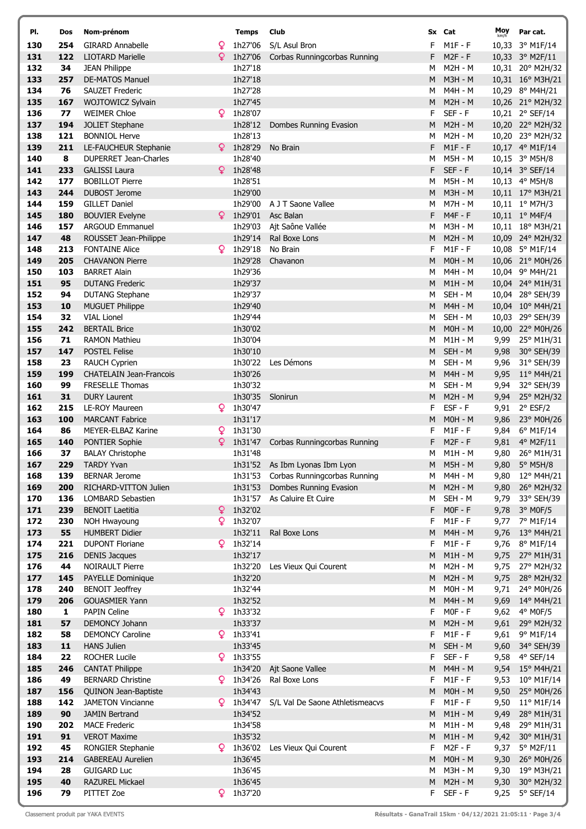| PI.        | Dos        | Nom-prénom                                       |   |
|------------|------------|--------------------------------------------------|---|
| 130        | 254        | <b>GIRARD Annabelle</b>                          | Q |
| 131        | 122        | <b>LIOTARD Marielle</b>                          | Q |
| 132        | 34         | <b>JEAN Philippe</b>                             |   |
| 133        | 257        | <b>DE-MATOS Manuel</b>                           |   |
| 134        | 76         | <b>SAUZET Frederic</b>                           |   |
| 135<br>136 | 167<br>77  | WOJTOWICZ Sylvain<br><b>WEIMER Chloe</b>         | Q |
| 137        | 194        | <b>JOLIET Stephane</b>                           |   |
| 138        | 121        | <b>BONNIOL Herve</b>                             |   |
| 139        | 211        | LE-FAUCHEUR Stephanie                            | Q |
| 140        | 8          | <b>DUPERRET Jean-Charles</b>                     |   |
| 141        | 233        | <b>GALISSI Laura</b>                             | Q |
| 142        | 177        | <b>BOBILLOT Pierre</b>                           |   |
| 143        | 244        | <b>DUBOST Jerome</b>                             |   |
| 144        | 159        | <b>GILLET Daniel</b>                             |   |
| 145        | 180        | <b>BOUVIER Evelyne</b>                           | Q |
| 146        | 157        | <b>ARGOUD Emmanuel</b>                           |   |
| 147        | 48         | ROUSSET Jean-Philippe                            |   |
| 148        | 213        | <b>FONTAINE Alice</b>                            | Q |
| 149        | 205        | <b>CHAVANON Pierre</b>                           |   |
| 150        | 103        | <b>BARRET Alain</b>                              |   |
| 151        | 95         | <b>DUTANG Frederic</b>                           |   |
| 152<br>153 | 94<br>10   | <b>DUTANG Stephane</b><br><b>MUGUET Philippe</b> |   |
| 154        | 32         | <b>VIAL Lionel</b>                               |   |
| 155        | 242        | <b>BERTAIL Brice</b>                             |   |
| 156        | 71         | <b>RAMON Mathieu</b>                             |   |
| 157        | 147        | <b>POSTEL Felise</b>                             |   |
| 158        | 23         | <b>RAUCH Cyprien</b>                             |   |
| 159        | 199        | <b>CHATELAIN Jean-Francois</b>                   |   |
| 160        | 99         | <b>FRESELLE Thomas</b>                           |   |
| 161        | 31         | <b>DURY Laurent</b>                              |   |
| 162        | 215        | LE-ROY Maureen                                   | Q |
| 163        | 100        | <b>MARCANT Fabrice</b>                           |   |
| 164        | 86         | <b>MEYER-ELBAZ Karine</b>                        | Q |
| 165        | 140        | <b>PONTIER Sophie</b>                            | Q |
| 166        | 37         | <b>BALAY Christophe</b>                          |   |
| 167        | 229<br>139 | <b>TARDY Yvan</b><br><b>BERNAR Jerome</b>        |   |
| 168<br>169 | 200        | RICHARD-VITTON Julien                            |   |
| 170        | 136        | LOMBARD Sebastien                                |   |
| 171        | 239        | <b>BENOIT Laetitia</b>                           | Q |
| 172        | 230        | <b>NOH Hwayoung</b>                              | Q |
| 173        | 55         | <b>HUMBERT Didier</b>                            |   |
| 174        | 221        | <b>DUPONT Floriane</b>                           | Q |
| 175        | 216        | <b>DENIS Jacques</b>                             |   |
| 176        | 44         | <b>NOIRAULT Pierre</b>                           |   |
| 177        | 145        | <b>PAYELLE Dominique</b>                         |   |
| 178        | 240        | <b>BENOIT Jeoffrey</b>                           |   |
| 179        | 206        | <b>GOUASMIER Yann</b>                            |   |
| 180        | 1          | <b>PAPIN Celine</b>                              | Q |
| 181        | 57         | <b>DEMONCY Johann</b>                            | Q |
| 182<br>183 | 58<br>11   | <b>DEMONCY Caroline</b><br><b>HANS Julien</b>    |   |
| 184        | 22         | <b>ROCHER Lucile</b>                             | Q |
| 185        | 246        | <b>CANTAT Philippe</b>                           |   |
| 186        | 49         | <b>BERNARD Christine</b>                         | Q |
| 187        | 156        | QUINON Jean-Baptiste                             |   |
| 188        | 142        | <b>JAMETON Vincianne</b>                         | Q |
| 189        | 90         | <b>JAMIN Bertrand</b>                            |   |
| 190        | 202        | <b>MACE Frederic</b>                             |   |
| 191        | 91         | <b>VEROT Maxime</b>                              |   |
| 192        | 45         | RONGIER Stephanie                                | Q |
| 193        | 214        | <b>GABEREAU Aurelien</b>                         |   |
| 194        | 28         | <b>GUIGARD Luc</b>                               |   |
| 195        | 40         | <b>RAZUREL Mickael</b>                           |   |
| 196        | 79         | PITTET Zoe                                       | Q |

 $\ell$ 

| PI.        | Dos        | Nom-prénom                                     |    | <b>Temps</b>       | Club                                             |        | Sx Cat                    | Moy          | Par cat.                           |
|------------|------------|------------------------------------------------|----|--------------------|--------------------------------------------------|--------|---------------------------|--------------|------------------------------------|
| 130        | 254        | <b>GIRARD Annabelle</b>                        | Q  | 1h27'06            | S/L Asul Bron                                    |        | $M1F - F$                 |              | 10,33 3° M1F/14                    |
| 131        | 122        | <b>LIOTARD Marielle</b>                        | Q  | 1h27'06            | Corbas Runningcorbas Running                     | F      | $M2F - F$                 |              | 10,33 3° M2F/11                    |
| 132        | 34         | <b>JEAN Philippe</b>                           |    | 1h27'18            |                                                  | м      | M2H - M                   |              | 10,31 20° M2H/32                   |
| 133        | 257        | <b>DE-MATOS Manuel</b>                         |    | 1h27'18            |                                                  | M      | <b>M3H - M</b>            |              | 10,31 16° M3H/21                   |
| 134        | 76         | <b>SAUZET Frederic</b>                         |    | 1h27'28            |                                                  | M      | M4H - M                   |              | 10,29 8° M4H/21                    |
| 135        | 167        | WOJTOWICZ Sylvain                              |    | 1h27'45            |                                                  | M      | <b>M2H - M</b>            |              | 10,26 21° M2H/32                   |
| 136        | 77         | <b>WEIMER Chloe</b>                            | ¥. | 1h28'07            |                                                  | F      | $SEF - F$                 |              | 10,21 2° SEF/14                    |
| 137        | 194        | <b>JOLIET Stephane</b>                         |    | 1h28'12            | Dombes Running Evasion                           | M      | <b>M2H - M</b>            |              | 10,20 22° M2H/32                   |
| 138        | 121        | <b>BONNIOL Herve</b>                           |    | 1h28'13            |                                                  | м      | <b>M2H - M</b>            |              | 10,20 23° M2H/32                   |
| 139        | 211        | LE-FAUCHEUR Stephanie                          |    | $9$ 1h28'29        | No Brain                                         | F      | $M1F - F$                 |              | 10,17 4° M1F/14                    |
| 140        | 8          | DUPERRET Jean-Charles                          |    | 1h28'40            |                                                  | M      | <b>M5H - M</b>            |              | 10,15 3° M5H/8                     |
| 141        | 233        | <b>GALISSI Laura</b>                           |    | $9 \t1h28'48$      |                                                  | F      | $SEF - F$                 |              | 10,14 3° SEF/14                    |
| 142        | 177<br>244 | <b>BOBILLOT Pierre</b><br><b>DUBOST Jerome</b> |    | 1h28'51<br>1h29'00 |                                                  | M      | M5H - M<br><b>M3H - M</b> |              | 10,13 4° M5H/8                     |
| 143<br>144 | 159        | <b>GILLET Daniel</b>                           |    | 1h29'00            | A J T Saone Vallee                               | M<br>м | M7H - M                   |              | 10,11 17° M3H/21<br>10,11 1° M7H/3 |
| 145        | 180        | <b>BOUVIER Evelyne</b>                         | Q  | 1h29'01            | Asc Balan                                        | F      | $M4F - F$                 |              | 10,11 1° M4F/4                     |
| 146        | 157        | <b>ARGOUD Emmanuel</b>                         |    | 1h29'03            | Ajt Saône Vallée                                 | M      | M3H - M                   |              | 10,11 18° M3H/21                   |
| 147        | 48         | ROUSSET Jean-Philippe                          |    | 1h29'14            | Ral Boxe Lons                                    | M      | <b>M2H - M</b>            |              | 10,09 24° M2H/32                   |
| 148        | 213        | <b>FONTAINE Alice</b>                          |    | 1h29'18            | No Brain                                         | F      | $M1F - F$                 |              | 10,08 5° M1F/14                    |
| 149        | 205        | <b>CHAVANON Pierre</b>                         |    | 1h29'28            | Chavanon                                         | M      | $MOH - M$                 |              | 10,06 21° M0H/26                   |
| 150        | 103        | <b>BARRET Alain</b>                            |    | 1h29'36            |                                                  | м      | M4H - M                   |              | 10,04 9° M4H/21                    |
| 151        | 95         | <b>DUTANG Frederic</b>                         |    | 1h29'37            |                                                  | M      | $M1H - M$                 |              | 10,04 24° M1H/31                   |
| 152        | 94         | <b>DUTANG Stephane</b>                         |    | 1h29'37            |                                                  | м      | SEH - M                   |              | 10,04 28° SEH/39                   |
| 153        | 10         | <b>MUGUET Philippe</b>                         |    | 1h29'40            |                                                  | M      | M4H - M                   |              | 10,04 10° M4H/21                   |
| 154        | 32         | <b>VIAL Lionel</b>                             |    | 1h29'44            |                                                  | м      | SEH - M                   |              | 10,03 29° SEH/39                   |
| 155        | 242        | <b>BERTAIL Brice</b>                           |    | 1h30'02            |                                                  | M      | $MOH - M$                 |              | 10,00 22° M0H/26                   |
| 156        | 71         | <b>RAMON Mathieu</b>                           |    | 1h30'04            |                                                  | м      | M1H - M                   | 9,99         | 25° M1H/31                         |
| 157        | 147        | <b>POSTEL Felise</b>                           |    | 1h30'10            |                                                  | M      | SEH - M                   | 9,98         | 30° SEH/39                         |
| 158        | 23         | <b>RAUCH Cyprien</b>                           |    | 1h30'22            | Les Démons                                       | M      | SEH - M                   | 9,96         | 31° SEH/39                         |
| 159        | 199        | <b>CHATELAIN Jean-Francois</b>                 |    | 1h30'26            |                                                  | M      | <b>M4H - M</b>            | 9,95         | $11^{\circ}$ M4H/21                |
| 160        | 99         | <b>FRESELLE Thomas</b>                         |    | 1h30'32            |                                                  | М      | SEH - M                   | 9,94         | 32° SEH/39                         |
| 161<br>162 | 31<br>215  | <b>DURY Laurent</b><br>LE-ROY Maureen          |    | 1h30'35<br>1h30'47 | Slonirun                                         | M<br>F | <b>M2H - M</b><br>ESF-F   | 9,91         | 9,94 25° M2H/32<br>$2°$ ESF/2      |
| 163        | 100        | <b>MARCANT Fabrice</b>                         |    | 1h31'17            |                                                  | M      | $MOH - M$                 | 9,86         | 23° M0H/26                         |
| 164        | 86         | MEYER-ELBAZ Karine                             | ¥  | 1h31'30            |                                                  | F      | $M1F - F$                 | 9,84         | 6° M1F/14                          |
| 165        | 140        | PONTIER Sophie                                 | Q  | 1h31'47            | Corbas Runningcorbas Running                     | F      | $M2F - F$                 | 9,81         | 4° M2F/11                          |
| 166        | 37         | <b>BALAY Christophe</b>                        |    | 1h31'48            |                                                  | м      | M1H - M                   | 9,80         | 26° M1H/31                         |
| 167        | 229        | <b>TARDY Yvan</b>                              |    |                    | 1h31'52 As Ibm Lyonas Ibm Lyon                   | м      | <b>M5H - M</b>            | 9,80         | 5° M5H/8                           |
| 168        | 139        | <b>BERNAR Jerome</b>                           |    |                    | 1h31'53 Corbas Runningcorbas Running             | M      | M4H - M                   |              | 9,80 12° M4H/21                    |
| 169        | 200        | RICHARD-VITTON Julien                          |    | 1h31'53            | Dombes Running Evasion                           | M      | <b>M2H - M</b>            |              | 9,80 26° M2H/32                    |
| 170        | 136        | LOMBARD Sebastien                              |    |                    | 1h31'57 As Caluire Et Cuire                      | м      | SEH - M                   | 9,79         | 33° SEH/39                         |
| 171        | 239        | <b>BENOIT Laetitia</b>                         | ¥  | 1h32'02            |                                                  | F      | $MOF - F$                 |              | 9,78 3° MOF/5                      |
| 172        | 230        | NOH Hwayoung                                   | Q  | 1h32'07            |                                                  | F      | $M1F - F$                 |              | 9,77 7° M1F/14                     |
| 173        | 55         | <b>HUMBERT Didier</b>                          |    | 1h32'11            | Ral Boxe Lons                                    | M      | M4H - M                   | 9,76         | 13° M4H/21                         |
| 174        | 221        | <b>DUPONT Floriane</b>                         | Q  | 1h32'14            |                                                  | F      | $M1F - F$                 |              | 9,76 8° M1F/14                     |
| 175        | 216        | <b>DENIS Jacques</b>                           |    | 1h32'17            |                                                  | M      | $M1H - M$                 |              | 9,75 27° M1H/31                    |
| 176        | 44         | <b>NOIRAULT Pierre</b>                         |    | 1h32'20            | Les Vieux Qui Courent                            | М      | M2H - M                   | 9,75         | 27° M2H/32                         |
| 177<br>178 | 145<br>240 | PAYELLE Dominique<br><b>BENOIT Jeoffrey</b>    |    | 1h32'20<br>1h32'44 |                                                  | M<br>м | <b>M2H - M</b><br>MOH - M | 9,71         | 9,75 28° M2H/32<br>24° M0H/26      |
| 179        | 206        | <b>GOUASMIER Yann</b>                          |    | 1h32'52            |                                                  | M      | <b>M4H - M</b>            | 9,69         | 14° M4H/21                         |
| 180        | 1          | <b>PAPIN Celine</b>                            |    | $9$ 1h33'32        |                                                  | F      | $MOF - F$                 | 9,62         | 4° M0F/5                           |
| 181        | 57         | DEMONCY Johann                                 |    | 1h33'37            |                                                  | M      | $M2H - M$                 |              | 9,61 29° M2H/32                    |
| 182        | 58         | <b>DEMONCY Caroline</b>                        |    | 1h33'41            |                                                  | F      | $M1F - F$                 | 9,61         | 9° M1F/14                          |
| 183        | 11         | <b>HANS Julien</b>                             |    | 1h33'45            |                                                  | M      | SEH - M                   | 9,60         | 34° SEH/39                         |
| 184        | 22         | <b>ROCHER Lucile</b>                           |    | $9$ 1h33'55        |                                                  | F      | SEF - F                   | 9,58         | 4° SEF/14                          |
| 185        | 246        | <b>CANTAT Philippe</b>                         |    | 1h34'20            | Ajt Saone Vallee                                 | M      | M4H - M                   |              | 9,54 15° M4H/21                    |
| 186        | 49         | <b>BERNARD Christine</b>                       |    | $9$ 1h34'26        | Ral Boxe Lons                                    | F      | $M1F - F$                 | 9,53         | 10° M1F/14                         |
| 187        | 156        | QUINON Jean-Baptiste                           |    | 1h34'43            |                                                  | M      | $MOH - M$                 | 9,50         | 25° M0H/26                         |
| 188        | 142        | <b>JAMETON Vincianne</b>                       |    |                    | <b>9</b> 1h34'47 S/L Val De Saone Athletismeacvs | F      | $M1F - F$                 | 9,50         | 11° M1F/14                         |
| 189        | 90         | <b>JAMIN Bertrand</b>                          |    | 1h34'52            |                                                  | M      | $M1H - M$                 | 9,49         | 28° M1H/31                         |
| 190        | 202        | <b>MACE Frederic</b>                           |    | 1h34'58            |                                                  | м      | M1H - M                   | 9,48         | 29° M1H/31                         |
| 191        | 91         | <b>VEROT Maxime</b>                            |    | 1h35'32            |                                                  | M      | $M1H - M$                 | 9,42         | 30° M1H/31                         |
| 192        | 45         | RONGIER Stephanie                              |    | 1h36'02<br>1h36'45 | Les Vieux Qui Courent                            | F      | M2F - F                   | 9,37         | 5° M2F/11                          |
| 193<br>194 | 214<br>28  | <b>GABEREAU Aurelien</b><br><b>GUIGARD Luc</b> |    | 1h36'45            |                                                  | M<br>м | MOH - M<br>M3H - M        | 9,30<br>9,30 | 26° M0H/26<br>19° M3H/21           |
| 195        | 40         | <b>RAZUREL Mickael</b>                         |    | 1h36'45            |                                                  | M      | <b>M2H - M</b>            | 9,30         | 30° M2H/32                         |
| 196        | 79         | PITTET Zoe                                     |    | $9$ 1h37'20        |                                                  | F.     | $SEF - F$                 | 9,25         | 5° SEF/14                          |
|            |            |                                                |    |                    |                                                  |        |                           |              |                                    |